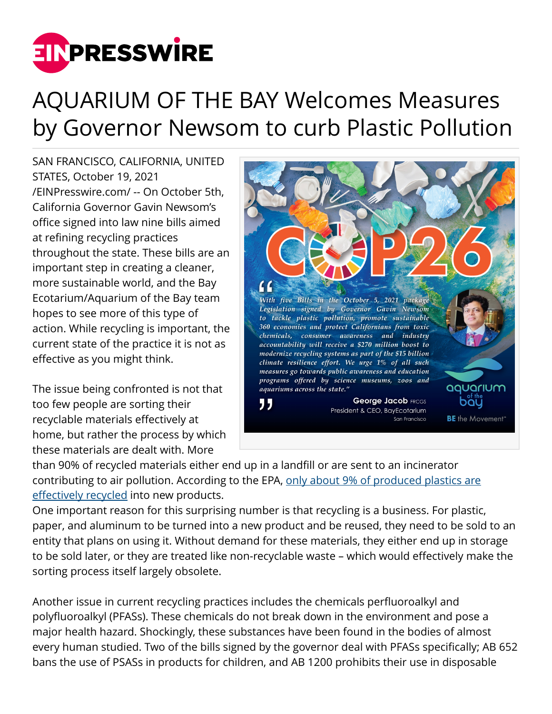

## AQUARIUM OF THE BAY Welcomes Measures by Governor Newsom to curb Plastic Pollution

SAN FRANCISCO, CALIFORNIA, UNITED STATES, October 19, 2021 [/EINPresswire.com/](http://www.einpresswire.com) -- On October 5th, California Governor Gavin Newsom's office signed into law nine bills aimed at refining recycling practices throughout the state. These bills are an important step in creating a cleaner, more sustainable world, and the Bay Ecotarium/Aquarium of the Bay team hopes to see more of this type of action. While recycling is important, the current state of the practice it is not as effective as you might think.

The issue being confronted is not that too few people are sorting their recyclable materials effectively at home, but rather the process by which these materials are dealt with. More



than 90% of recycled materials either end up in a landfill or are sent to an incinerator contributing to air pollution. According to the EPA, [only about 9% of produced plastics are](http://www.epa.gov/facts-and-figures-about-materials-waste-and-recycling/plastics-material-specific-data) [effectively recycled](http://www.epa.gov/facts-and-figures-about-materials-waste-and-recycling/plastics-material-specific-data) into new products.

One important reason for this surprising number is that recycling is a business. For plastic, paper, and aluminum to be turned into a new product and be reused, they need to be sold to an entity that plans on using it. Without demand for these materials, they either end up in storage to be sold later, or they are treated like non-recyclable waste – which would effectively make the sorting process itself largely obsolete.

Another issue in current recycling practices includes the chemicals perfluoroalkyl and polyfluoroalkyl (PFASs). These chemicals do not break down in the environment and pose a major health hazard. Shockingly, these substances have been found in the bodies of almost every human studied. Two of the bills signed by the governor deal with PFASs specifically; AB 652 bans the use of PSASs in products for children, and AB 1200 prohibits their use in disposable